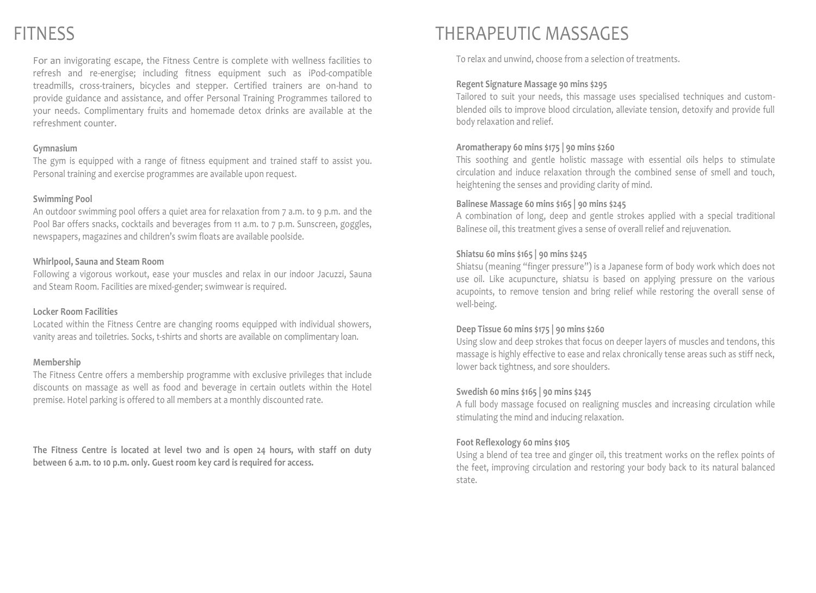For an invigorating escape, the Fitness Centre is complete with wellness facilities to refresh and re-energise; including fitness equipment such as iPod-compatible treadmills, cross-trainers, bicycles and stepper. Certified trainers are on-hand to provide guidance and assistance, and offer Personal Training Programmes tailored to your needs. Complimentary fruits and homemade detox drinks are available at the refreshment counter.

### **Gymnasium**

The gym is equipped with a range of fitness equipment and trained staff to assist you. Personal training and exercise programmes are available upon request.

## **Swimming Pool**

An outdoor swimming pool offers a quiet area for relaxation from 7 a.m. to 9 p.m. and the Pool Bar offers snacks, cocktails and beverages from 11 a.m. to 7 p.m. Sunscreen, goggles, newspapers, magazines and children's swim floats are available poolside.

### **Whirlpool, Sauna and Steam Room**

Following a vigorous workout, ease your muscles and relax in our indoor Jacuzzi, Sauna and Steam Room. Facilities are mixed-gender; swimwear is required.

### **Locker Room Facilities**

Located within the Fitness Centre are changing rooms equipped with individual showers, vanity areas and toiletries. Socks, t-shirts and shorts are available on complimentary loan.

### **Membership**

The Fitness Centre offers a membership programme with exclusive privileges that include discounts on massage as well as food and beverage in certain outlets within the Hotel premise. Hotel parking is offered to all members at a monthly discounted rate.

**The Fitness Centre is located at level two and is open 24 hours, with staff on duty between 6 a.m. to 10 p.m. only. Guest room key card is required for access.**

# FITNESS THERAPEUTIC MASSAGES

To relax and unwind, choose from a selection of treatments.

# Regent Signature Massage 90 mins \$295

Tailored to suit your needs, this massage uses specialised techniques and customblended oils to improve blood circulation, alleviate tension, detoxify and provide full body relaxation and relief.

# **Aromatherapy 60 mins \$175 | 90 mins \$260**

This soothing and gentle holistic massage with essential oils helps to stimulate circulation and induce relaxation through the combined sense of smell and touch, heightening the senses and providing clarity of mind.

## **Balinese Massage 60 mins \$165 | 90 mins \$245**

A combination of long, deep and gentle strokes applied with a special traditional Balinese oil, this treatment gives a sense of overall relief and rejuvenation.

# **Shiatsu 60 mins \$165 | 90 mins \$245**

Shiatsu (meaning "finger pressure") is a Japanese form of body work which does not use oil. Like acupuncture, shiatsu is based on applying pressure on the various acupoints, to remove tension and bring relief while restoring the overall sense of well-being.

# **Deep Tissue 60 mins \$175 | 90 mins \$260**

Using slow and deep strokes that focus on deeper layers of muscles and tendons, this massage is highly effective to ease and relax chronically tense areas such as stiff neck, lower back tightness, and sore shoulders.

# **Swedish 60 mins \$165 | 90 mins \$245**

A full body massage focused on realigning muscles and increasing circulation while stimulating the mind and inducing relaxation.

# **Foot Reflexology 60 mins \$105**

Using a blend of tea tree and ginger oil, this treatment works on the reflex points of the feet, improving circulation and restoring your body back to its natural balanced state.